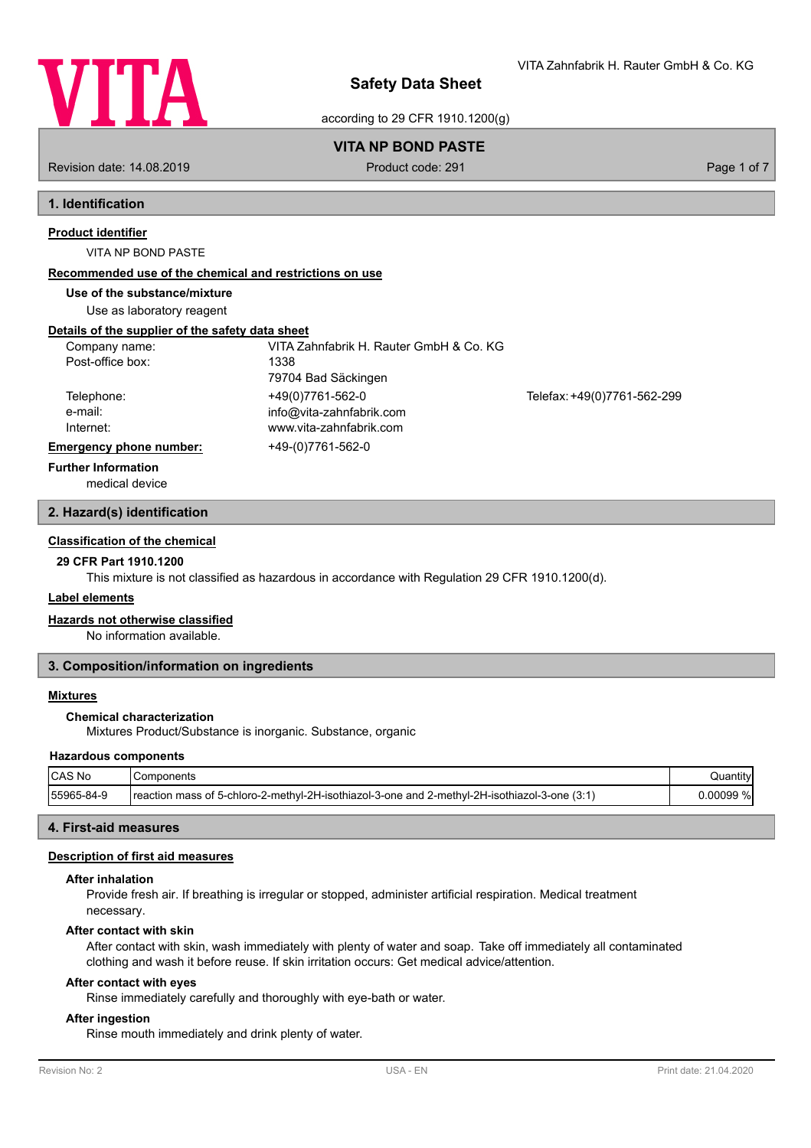

VITA Zahnfabrik H. Rauter GmbH & Co. KG

according to 29 CFR 1910.1200(g)

# **VITA NP BOND PASTE**

Revision date: 14.08.2019 **Product code: 291** Product code: 291 **Page 1 of 7** Page 1 of 7

# **1. Identification**

# **Product identifier**

VITA NP BOND PASTE

### **Recommended use of the chemical and restrictions on use**

**Use of the substance/mixture**

Use as laboratory reagent

# **Details of the supplier of the safety data sheet**

| Company name:                  | VITA Zahnfabrik H. Rauter GmbH & Co. KG |                             |  |  |  |
|--------------------------------|-----------------------------------------|-----------------------------|--|--|--|
| Post-office box:               | 1338                                    |                             |  |  |  |
|                                | 79704 Bad Säckingen                     |                             |  |  |  |
| Telephone:                     | +49(0)7761-562-0                        | Telefax: +49(0)7761-562-299 |  |  |  |
| e-mail:                        | info@vita-zahnfabrik.com                |                             |  |  |  |
| Internet:                      | www.vita-zahnfabrik.com                 |                             |  |  |  |
| <b>Emergency phone number:</b> | +49-(0)7761-562-0                       |                             |  |  |  |
| <b>Further Information</b>     |                                         |                             |  |  |  |

medical device

### **2. Hazard(s) identification**

## **Classification of the chemical**

# **29 CFR Part 1910.1200**

This mixture is not classified as hazardous in accordance with Regulation 29 CFR 1910.1200(d).

## **Label elements**

## **Hazards not otherwise classified**

No information available.

## **3. Composition/information on ingredients**

## **Mixtures**

### **Chemical characterization**

Mixtures Product/Substance is inorganic. Substance, organic

#### **Hazardous components**

| CAS No     | Components                                                                                    | Quantity!  |
|------------|-----------------------------------------------------------------------------------------------|------------|
| 55965-84-9 | reaction mass of 5-chloro-2-methyl-2H-isothiazol-3-one and 2-methyl-2H-isothiazol-3-one (3:1) | 0.00099 %l |

### **4. First-aid measures**

#### **Description of first aid measures**

## **After inhalation**

Provide fresh air. If breathing is irregular or stopped, administer artificial respiration. Medical treatment necessary.

#### **After contact with skin**

After contact with skin, wash immediately with plenty of water and soap. Take off immediately all contaminated clothing and wash it before reuse. If skin irritation occurs: Get medical advice/attention.

### **After contact with eyes**

Rinse immediately carefully and thoroughly with eye-bath or water.

#### **After ingestion**

Rinse mouth immediately and drink plenty of water.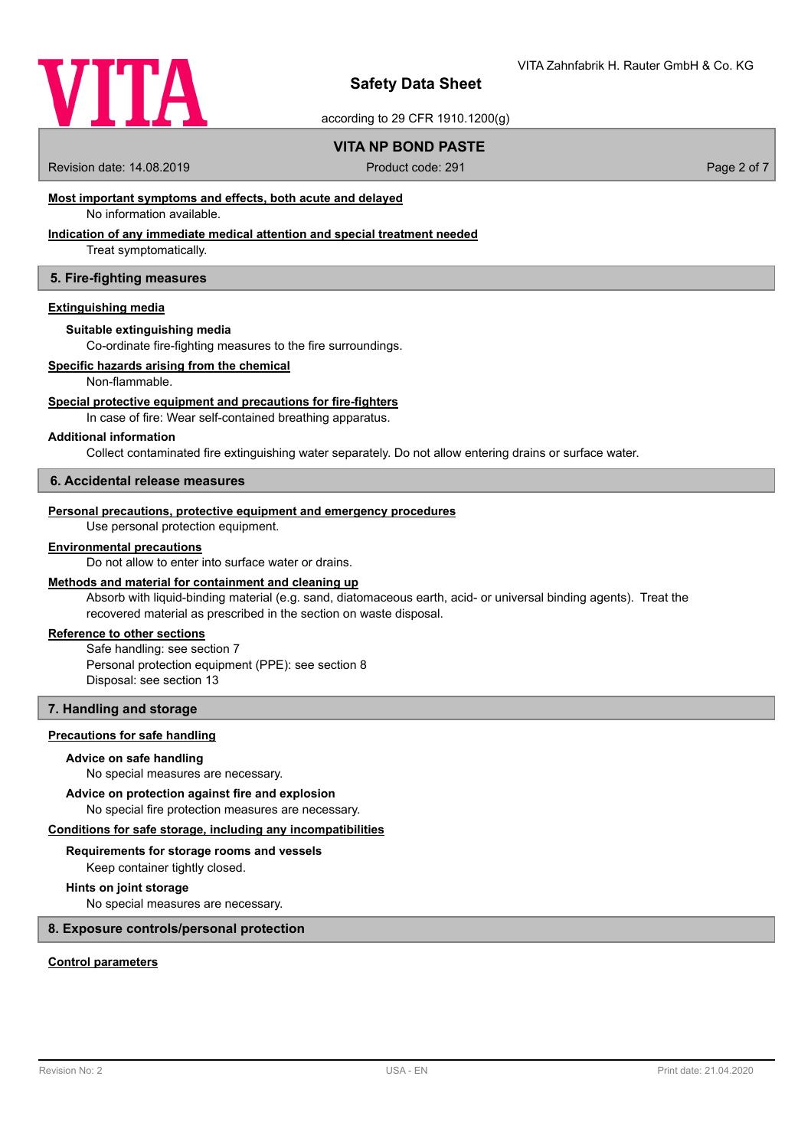

according to 29 CFR 1910.1200(g)

# **VITA NP BOND PASTE**

Revision date: 14.08.2019 **Product code: 291** Product code: 291 **Page 2 of 7** Page 2 of 7

# **Most important symptoms and effects, both acute and delayed**

No information available.

**Indication of any immediate medical attention and special treatment needed**

Treat symptomatically.

## **5. Fire-fighting measures**

## **Extinguishing media**

#### **Suitable extinguishing media**

Co-ordinate fire-fighting measures to the fire surroundings.

# **Specific hazards arising from the chemical**

Non-flammable.

#### **Special protective equipment and precautions for fire-fighters**

In case of fire: Wear self-contained breathing apparatus.

#### **Additional information**

Collect contaminated fire extinguishing water separately. Do not allow entering drains or surface water.

## **6. Accidental release measures**

#### **Personal precautions, protective equipment and emergency procedures**

Use personal protection equipment.

#### **Environmental precautions**

Do not allow to enter into surface water or drains.

### **Methods and material for containment and cleaning up**

Absorb with liquid-binding material (e.g. sand, diatomaceous earth, acid- or universal binding agents). Treat the recovered material as prescribed in the section on waste disposal.

# **Reference to other sections**

Safe handling: see section 7 Personal protection equipment (PPE): see section 8 Disposal: see section 13

## **7. Handling and storage**

#### **Precautions for safe handling**

#### **Advice on safe handling**

No special measures are necessary.

### No special fire protection measures are necessary. **Advice on protection against fire and explosion**

**Conditions for safe storage, including any incompatibilities**

### Keep container tightly closed. **Requirements for storage rooms and vessels**

**Hints on joint storage**

No special measures are necessary.

#### **8. Exposure controls/personal protection**

## **Control parameters**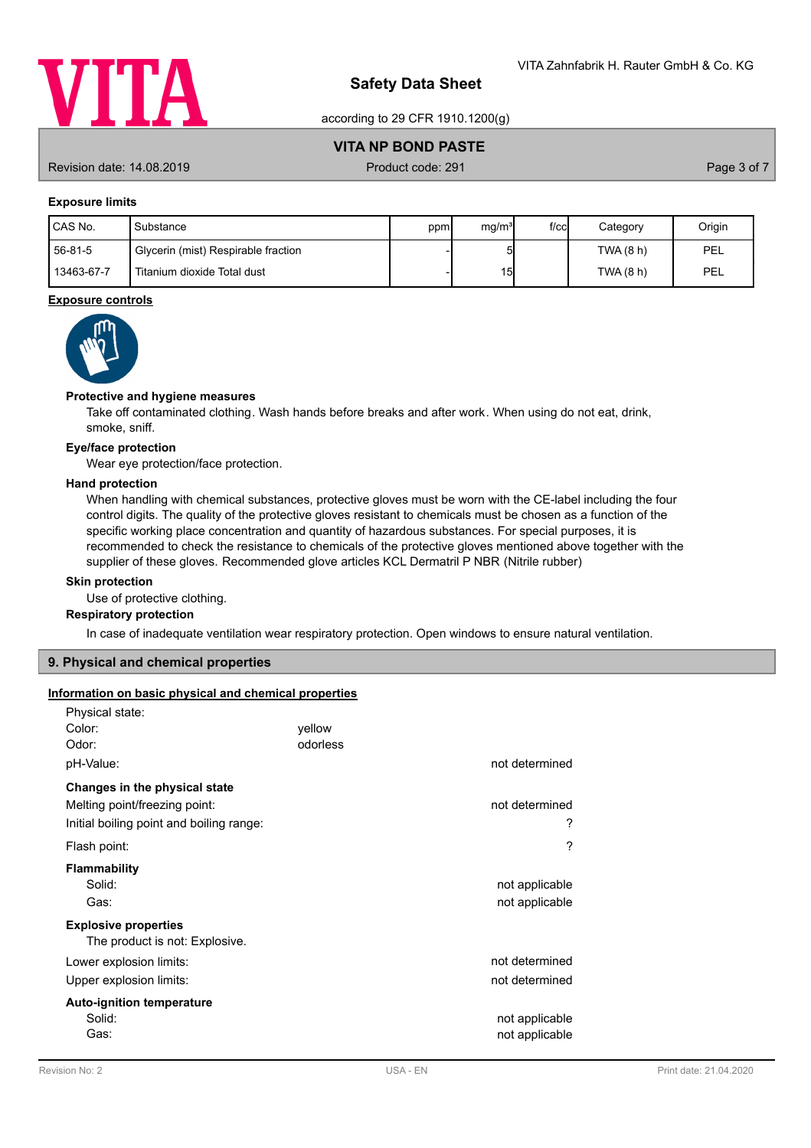

according to 29 CFR 1910.1200(g)

# **VITA NP BOND PASTE**

Revision date: 14.08.2019 **Product code: 291** Product code: 291 **Page 3 of 7** Page 3 of 7

## **Exposure limits**

| CAS No.    | Substance                           | ppm | mg/m <sup>3</sup> | $f_{\rm /CC}$ | Category  | Origin |
|------------|-------------------------------------|-----|-------------------|---------------|-----------|--------|
| 56-81-5    | Glycerin (mist) Respirable fraction |     |                   |               | TWA(8 h)  | PEL    |
| 13463-67-7 | Titanium dioxide Total dust         |     | 15 <sub>1</sub>   |               | TWA (8 h) | PEL    |

### **Exposure controls**



#### **Protective and hygiene measures**

Take off contaminated clothing. Wash hands before breaks and after work. When using do not eat, drink, smoke, sniff.

#### **Eye/face protection**

Wear eye protection/face protection.

## **Hand protection**

When handling with chemical substances, protective gloves must be worn with the CE-label including the four control digits. The quality of the protective gloves resistant to chemicals must be chosen as a function of the specific working place concentration and quantity of hazardous substances. For special purposes, it is recommended to check the resistance to chemicals of the protective gloves mentioned above together with the supplier of these gloves. Recommended glove articles KCL Dermatril P NBR (Nitrile rubber)

### **Skin protection**

Use of protective clothing.

# **Respiratory protection**

In case of inadequate ventilation wear respiratory protection. Open windows to ensure natural ventilation.

### **9. Physical and chemical properties**

## **Information on basic physical and chemical properties**

| Physical state:                                               |          |                                  |
|---------------------------------------------------------------|----------|----------------------------------|
| Color:                                                        | vellow   |                                  |
| Odor:                                                         | odorless |                                  |
| pH-Value:                                                     |          | not determined                   |
| Changes in the physical state                                 |          |                                  |
| Melting point/freezing point:                                 |          | not determined                   |
| Initial boiling point and boiling range:                      |          | ?                                |
| Flash point:                                                  |          | ?                                |
| <b>Flammability</b><br>Solid:                                 |          | not applicable                   |
| Gas:                                                          |          | not applicable                   |
| <b>Explosive properties</b><br>The product is not: Explosive. |          |                                  |
| Lower explosion limits:                                       |          | not determined                   |
| Upper explosion limits:                                       |          | not determined                   |
| <b>Auto-ignition temperature</b><br>Solid:<br>Gas:            |          | not applicable<br>not applicable |
|                                                               |          |                                  |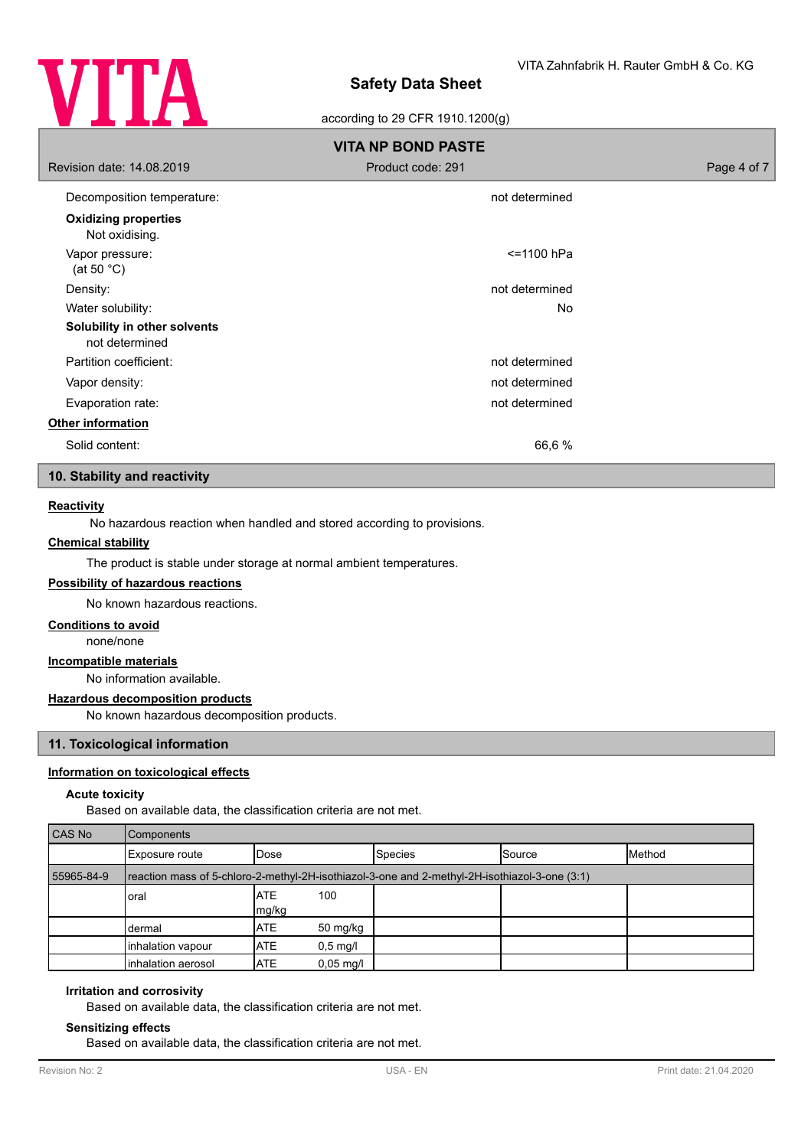

### according to 29 CFR 1910.1200(g)

| <b>VITA NP BOND PASTE</b>                      |                   |             |  |  |  |
|------------------------------------------------|-------------------|-------------|--|--|--|
| Revision date: 14.08.2019                      | Product code: 291 | Page 4 of 7 |  |  |  |
| Decomposition temperature:                     | not determined    |             |  |  |  |
| <b>Oxidizing properties</b><br>Not oxidising.  |                   |             |  |  |  |
| Vapor pressure:<br>(at 50 $^{\circ}$ C)        | <=1100 hPa        |             |  |  |  |
| Density:                                       | not determined    |             |  |  |  |
| Water solubility:                              | <b>No</b>         |             |  |  |  |
| Solubility in other solvents<br>not determined |                   |             |  |  |  |
| Partition coefficient:                         | not determined    |             |  |  |  |
| Vapor density:                                 | not determined    |             |  |  |  |
| Evaporation rate:                              | not determined    |             |  |  |  |
| Other information                              |                   |             |  |  |  |
| Solid content:                                 | 66,6 %            |             |  |  |  |

# **10. Stability and reactivity**

## **Reactivity**

No hazardous reaction when handled and stored according to provisions.

## **Chemical stability**

The product is stable under storage at normal ambient temperatures.

## **Possibility of hazardous reactions**

No known hazardous reactions.

# **Conditions to avoid**

none/none

## **Incompatible materials**

No information available.

## **Hazardous decomposition products**

No known hazardous decomposition products.

# **11. Toxicological information**

### **Information on toxicological effects**

#### **Acute toxicity**

Based on available data, the classification criteria are not met.

| CAS No     | Components                                                                                    |               |                    |         |                 |                 |
|------------|-----------------------------------------------------------------------------------------------|---------------|--------------------|---------|-----------------|-----------------|
|            | Exposure route                                                                                | <b>I</b> Dose |                    | Species | <b>I</b> Source | <b>I</b> Method |
| 55965-84-9 | reaction mass of 5-chloro-2-methyl-2H-isothiazol-3-one and 2-methyl-2H-isothiazol-3-one (3:1) |               |                    |         |                 |                 |
|            | oral                                                                                          | IATE<br>mg/kg | 100                |         |                 |                 |
|            | dermal                                                                                        | <b>ATE</b>    | 50 mg/kg           |         |                 |                 |
|            | inhalation vapour                                                                             | IATE          | $0,5 \text{ mg/l}$ |         |                 |                 |
|            | linhalation aerosol                                                                           | IATE          | $0.05$ mg/l        |         |                 |                 |

### **Irritation and corrosivity**

Based on available data, the classification criteria are not met.

#### **Sensitizing effects**

Based on available data, the classification criteria are not met.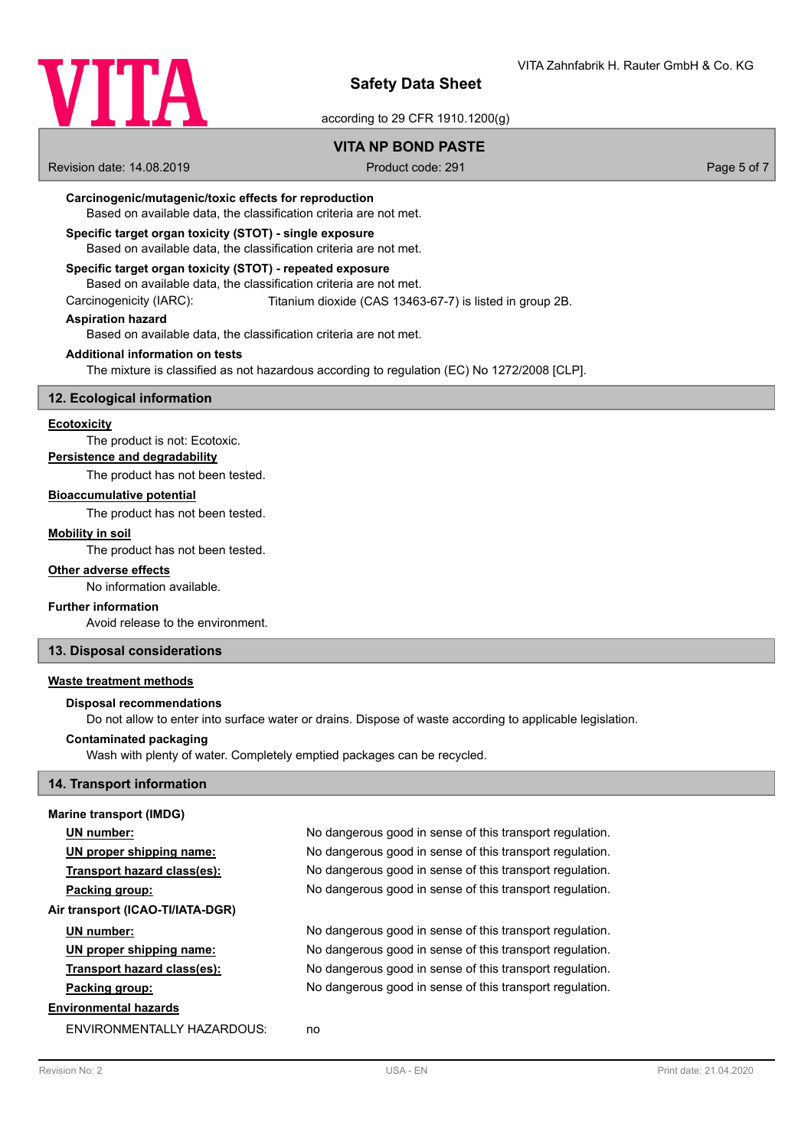

according to 29 CFR 1910.1200(g)

# **VITA NP BOND PASTE**

Revision date: 14.08.2019 **Product code: 291** Product code: 291 **Page 5 of 7** Page 5 of 7

# **Carcinogenic/mutagenic/toxic effects for reproduction**

Based on available data, the classification criteria are not met.

## **Specific target organ toxicity (STOT) - single exposure**

Based on available data, the classification criteria are not met.

## **Specific target organ toxicity (STOT) - repeated exposure**

# Based on available data, the classification criteria are not met.

Carcinogenicity (IARC): Titanium dioxide (CAS 13463-67-7) is listed in group 2B.

## **Aspiration hazard**

Based on available data, the classification criteria are not met.

## **Additional information on tests**

The mixture is classified as not hazardous according to regulation (EC) No 1272/2008 [CLP].

#### **12. Ecological information**

#### **Ecotoxicity**

The product is not: Ecotoxic.

# **Persistence and degradability**

The product has not been tested.

### **Bioaccumulative potential**

The product has not been tested.

# **Mobility in soil**

The product has not been tested.

## **Other adverse effects**

No information available.

## **Further information**

Avoid release to the environment.

## **13. Disposal considerations**

#### **Waste treatment methods**

### **Disposal recommendations**

Do not allow to enter into surface water or drains. Dispose of waste according to applicable legislation.

## **Contaminated packaging**

Wash with plenty of water. Completely emptied packages can be recycled.

### **14. Transport information**

| Marine transport (IMDG)          |                                                          |
|----------------------------------|----------------------------------------------------------|
| UN number:                       | No dangerous good in sense of this transport regulation. |
| UN proper shipping name:         | No dangerous good in sense of this transport regulation. |
| Transport hazard class(es):      | No dangerous good in sense of this transport regulation. |
| Packing group:                   | No dangerous good in sense of this transport regulation. |
| Air transport (ICAO-TI/IATA-DGR) |                                                          |
| UN number:                       | No dangerous good in sense of this transport regulation. |
| UN proper shipping name:         | No dangerous good in sense of this transport regulation. |
| Transport hazard class(es):      | No dangerous good in sense of this transport regulation. |
| Packing group:                   | No dangerous good in sense of this transport regulation. |
| <b>Environmental hazards</b>     |                                                          |
| ENVIRONMENTALLY HAZARDOUS:       | no                                                       |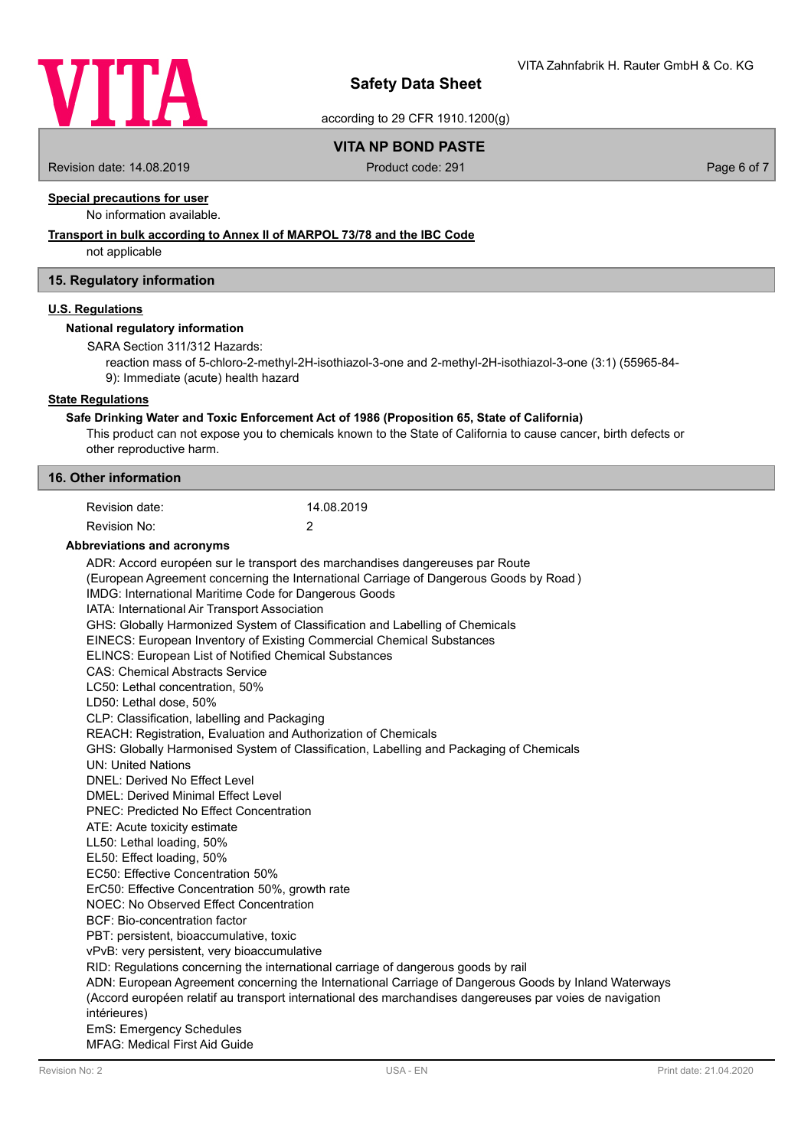

according to 29 CFR 1910.1200(g)

# **VITA NP BOND PASTE**

Revision date: 14.08.2019 **Product code: 291** Product code: 291 **Page 6 of 7** Page 6 of 7

# **Special precautions for user**

No information available.

## **Transport in bulk according to Annex II of MARPOL 73/78 and the IBC Code**

not applicable

# **15. Regulatory information**

# **U.S. Regulations**

#### **National regulatory information**

SARA Section 311/312 Hazards:

reaction mass of 5-chloro-2-methyl-2H-isothiazol-3-one and 2-methyl-2H-isothiazol-3-one (3:1) (55965-84- 9): Immediate (acute) health hazard

### **State Regulations**

### **Safe Drinking Water and Toxic Enforcement Act of 1986 (Proposition 65, State of California)**

This product can not expose you to chemicals known to the State of California to cause cancer, birth defects or other reproductive harm.

| 16. Other information                           |                                                                                                                                                           |                                                                                                          |  |  |  |  |  |
|-------------------------------------------------|-----------------------------------------------------------------------------------------------------------------------------------------------------------|----------------------------------------------------------------------------------------------------------|--|--|--|--|--|
| Revision date:                                  | 14.08.2019                                                                                                                                                |                                                                                                          |  |  |  |  |  |
| Revision No:                                    | 2                                                                                                                                                         |                                                                                                          |  |  |  |  |  |
| Abbreviations and acronyms                      |                                                                                                                                                           |                                                                                                          |  |  |  |  |  |
|                                                 | ADR: Accord européen sur le transport des marchandises dangereuses par Route                                                                              |                                                                                                          |  |  |  |  |  |
|                                                 | (European Agreement concerning the International Carriage of Dangerous Goods by Road)                                                                     |                                                                                                          |  |  |  |  |  |
|                                                 | IMDG: International Maritime Code for Dangerous Goods                                                                                                     |                                                                                                          |  |  |  |  |  |
|                                                 | IATA: International Air Transport Association                                                                                                             |                                                                                                          |  |  |  |  |  |
|                                                 | GHS: Globally Harmonized System of Classification and Labelling of Chemicals                                                                              |                                                                                                          |  |  |  |  |  |
|                                                 | EINECS: European Inventory of Existing Commercial Chemical Substances                                                                                     |                                                                                                          |  |  |  |  |  |
|                                                 | ELINCS: European List of Notified Chemical Substances                                                                                                     |                                                                                                          |  |  |  |  |  |
| <b>CAS: Chemical Abstracts Service</b>          |                                                                                                                                                           |                                                                                                          |  |  |  |  |  |
| LC50: Lethal concentration, 50%                 |                                                                                                                                                           |                                                                                                          |  |  |  |  |  |
| LD50: Lethal dose, 50%                          |                                                                                                                                                           |                                                                                                          |  |  |  |  |  |
| CLP: Classification, labelling and Packaging    |                                                                                                                                                           |                                                                                                          |  |  |  |  |  |
|                                                 | REACH: Registration, Evaluation and Authorization of Chemicals<br>GHS: Globally Harmonised System of Classification, Labelling and Packaging of Chemicals |                                                                                                          |  |  |  |  |  |
| <b>UN: United Nations</b>                       |                                                                                                                                                           |                                                                                                          |  |  |  |  |  |
| <b>DNEL: Derived No Effect Level</b>            |                                                                                                                                                           |                                                                                                          |  |  |  |  |  |
| <b>DMEL: Derived Minimal Effect Level</b>       |                                                                                                                                                           |                                                                                                          |  |  |  |  |  |
| <b>PNEC: Predicted No Effect Concentration</b>  |                                                                                                                                                           |                                                                                                          |  |  |  |  |  |
| ATE: Acute toxicity estimate                    |                                                                                                                                                           |                                                                                                          |  |  |  |  |  |
| LL50: Lethal loading, 50%                       |                                                                                                                                                           |                                                                                                          |  |  |  |  |  |
| EL50: Effect loading, 50%                       |                                                                                                                                                           |                                                                                                          |  |  |  |  |  |
| EC50: Effective Concentration 50%               |                                                                                                                                                           |                                                                                                          |  |  |  |  |  |
| ErC50: Effective Concentration 50%, growth rate |                                                                                                                                                           |                                                                                                          |  |  |  |  |  |
| NOEC: No Observed Effect Concentration          |                                                                                                                                                           |                                                                                                          |  |  |  |  |  |
| BCF: Bio-concentration factor                   |                                                                                                                                                           |                                                                                                          |  |  |  |  |  |
| PBT: persistent, bioaccumulative, toxic         |                                                                                                                                                           |                                                                                                          |  |  |  |  |  |
| vPvB: very persistent, very bioaccumulative     |                                                                                                                                                           |                                                                                                          |  |  |  |  |  |
|                                                 | RID: Regulations concerning the international carriage of dangerous goods by rail                                                                         |                                                                                                          |  |  |  |  |  |
|                                                 |                                                                                                                                                           | ADN: European Agreement concerning the International Carriage of Dangerous Goods by Inland Waterways     |  |  |  |  |  |
| intérieures)                                    |                                                                                                                                                           | (Accord européen relatif au transport international des marchandises dangereuses par voies de navigation |  |  |  |  |  |
| EmS: Emergency Schedules                        |                                                                                                                                                           |                                                                                                          |  |  |  |  |  |
| <b>MFAG: Medical First Aid Guide</b>            |                                                                                                                                                           |                                                                                                          |  |  |  |  |  |